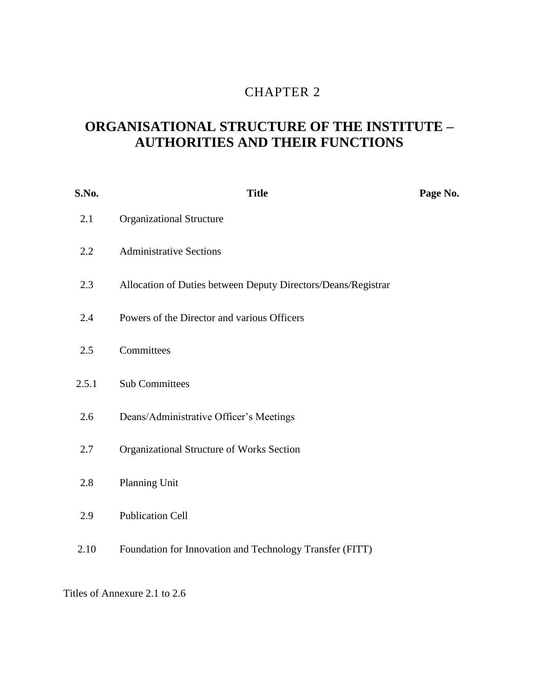# 2 CHAPTER 2

# **ORGANISATIONAL STRUCTURE OF THE INSTITUTE – AUTHORITIES AND THEIR FUNCTIONS**

| S.No. | <b>Title</b>                                                  | Page No. |
|-------|---------------------------------------------------------------|----------|
| 2.1   | <b>Organizational Structure</b>                               |          |
| 2.2   | <b>Administrative Sections</b>                                |          |
| 2.3   | Allocation of Duties between Deputy Directors/Deans/Registrar |          |
| 2.4   | Powers of the Director and various Officers                   |          |
| 2.5   | Committees                                                    |          |
| 2.5.1 | <b>Sub Committees</b>                                         |          |
| 2.6   | Deans/Administrative Officer's Meetings                       |          |
| 2.7   | Organizational Structure of Works Section                     |          |
| 2.8   | Planning Unit                                                 |          |
| 2.9   | <b>Publication Cell</b>                                       |          |
| 2.10  | Foundation for Innovation and Technology Transfer (FITT)      |          |

Titles of Annexure 2.1 to 2.6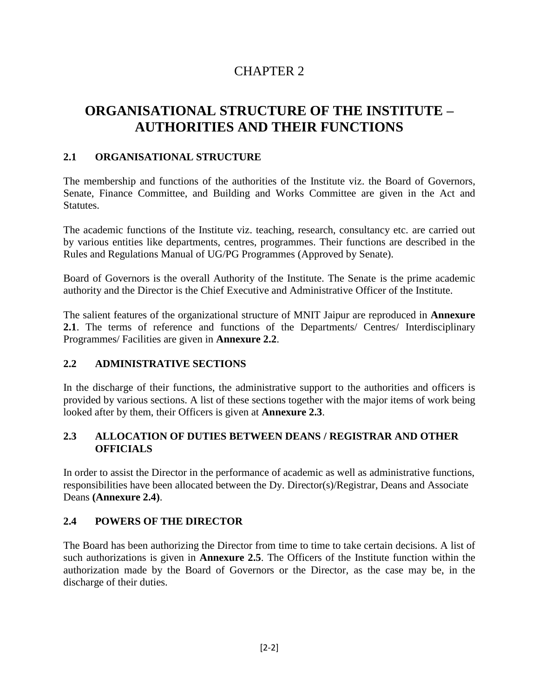# CHAPTER 2

# **ORGANISATIONAL STRUCTURE OF THE INSTITUTE – AUTHORITIES AND THEIR FUNCTIONS**

### **2.1 ORGANISATIONAL STRUCTURE**

The membership and functions of the authorities of the Institute viz. the Board of Governors, Senate, Finance Committee, and Building and Works Committee are given in the Act and Statutes.

The academic functions of the Institute viz. teaching, research, consultancy etc. are carried out by various entities like departments, centres, programmes. Their functions are described in the Rules and Regulations Manual of UG/PG Programmes (Approved by Senate).

Board of Governors is the overall Authority of the Institute. The Senate is the prime academic authority and the Director is the Chief Executive and Administrative Officer of the Institute.

The salient features of the organizational structure of MNIT Jaipur are reproduced in **Annexure 2.1**. The terms of reference and functions of the Departments/ Centres/ Interdisciplinary Programmes/ Facilities are given in **Annexure 2.2**.

### **2.2 ADMINISTRATIVE SECTIONS**

In the discharge of their functions, the administrative support to the authorities and officers is provided by various sections. A list of these sections together with the major items of work being looked after by them, their Officers is given at **Annexure 2.3**.

### **2.3 ALLOCATION OF DUTIES BETWEEN DEANS / REGISTRAR AND OTHER OFFICIALS**

In order to assist the Director in the performance of academic as well as administrative functions, responsibilities have been allocated between the Dy. Director(s)/Registrar, Deans and Associate Deans **(Annexure 2.4)**.

### **2.4 POWERS OF THE DIRECTOR**

The Board has been authorizing the Director from time to time to take certain decisions. A list of such authorizations is given in **Annexure 2.5**. The Officers of the Institute function within the authorization made by the Board of Governors or the Director, as the case may be, in the discharge of their duties.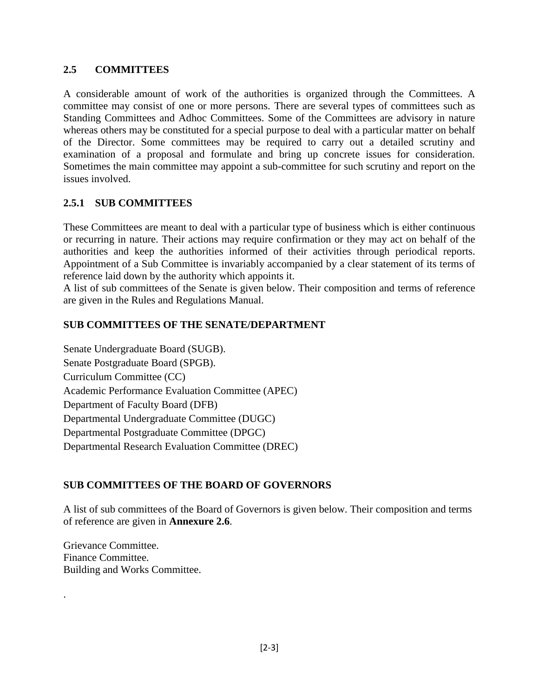### **2.5 COMMITTEES**

A considerable amount of work of the authorities is organized through the Committees. A committee may consist of one or more persons. There are several types of committees such as Standing Committees and Adhoc Committees. Some of the Committees are advisory in nature whereas others may be constituted for a special purpose to deal with a particular matter on behalf of the Director. Some committees may be required to carry out a detailed scrutiny and examination of a proposal and formulate and bring up concrete issues for consideration. Sometimes the main committee may appoint a sub-committee for such scrutiny and report on the issues involved.

### **2.5.1 SUB COMMITTEES**

These Committees are meant to deal with a particular type of business which is either continuous or recurring in nature. Their actions may require confirmation or they may act on behalf of the authorities and keep the authorities informed of their activities through periodical reports. Appointment of a Sub Committee is invariably accompanied by a clear statement of its terms of reference laid down by the authority which appoints it.

A list of sub committees of the Senate is given below. Their composition and terms of reference are given in the Rules and Regulations Manual.

### **SUB COMMITTEES OF THE SENATE/DEPARTMENT**

Senate Undergraduate Board (SUGB). Senate Postgraduate Board (SPGB). Curriculum Committee (CC) Academic Performance Evaluation Committee (APEC) Department of Faculty Board (DFB) Departmental Undergraduate Committee (DUGC) Departmental Postgraduate Committee (DPGC) Departmental Research Evaluation Committee (DREC)

### **SUB COMMITTEES OF THE BOARD OF GOVERNORS**

A list of sub committees of the Board of Governors is given below. Their composition and terms of reference are given in **Annexure 2.6**.

Grievance Committee. Finance Committee. Building and Works Committee.

.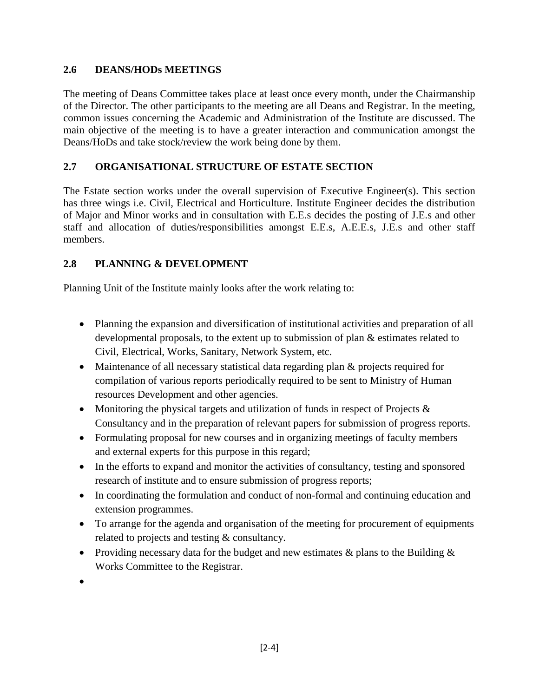### **2.6 DEANS/HODs MEETINGS**

The meeting of Deans Committee takes place at least once every month, under the Chairmanship of the Director. The other participants to the meeting are all Deans and Registrar. In the meeting, common issues concerning the Academic and Administration of the Institute are discussed. The main objective of the meeting is to have a greater interaction and communication amongst the Deans/HoDs and take stock/review the work being done by them.

### **2.7 ORGANISATIONAL STRUCTURE OF ESTATE SECTION**

The Estate section works under the overall supervision of Executive Engineer(s). This section has three wings i.e. Civil, Electrical and Horticulture. Institute Engineer decides the distribution of Major and Minor works and in consultation with E.E.s decides the posting of J.E.s and other staff and allocation of duties/responsibilities amongst E.E.s, A.E.E.s, J.E.s and other staff members.

## **2.8 PLANNING & DEVELOPMENT**

Planning Unit of the Institute mainly looks after the work relating to:

- Planning the expansion and diversification of institutional activities and preparation of all developmental proposals, to the extent up to submission of plan & estimates related to Civil, Electrical, Works, Sanitary, Network System, etc.
- Maintenance of all necessary statistical data regarding plan & projects required for compilation of various reports periodically required to be sent to Ministry of Human resources Development and other agencies.
- Monitoring the physical targets and utilization of funds in respect of Projects  $\&$ Consultancy and in the preparation of relevant papers for submission of progress reports.
- Formulating proposal for new courses and in organizing meetings of faculty members and external experts for this purpose in this regard;
- In the efforts to expand and monitor the activities of consultancy, testing and sponsored research of institute and to ensure submission of progress reports;
- In coordinating the formulation and conduct of non-formal and continuing education and extension programmes.
- To arrange for the agenda and organisation of the meeting for procurement of equipments related to projects and testing & consultancy.
- Providing necessary data for the budget and new estimates  $\&$  plans to the Building  $\&$ Works Committee to the Registrar.

 $\bullet$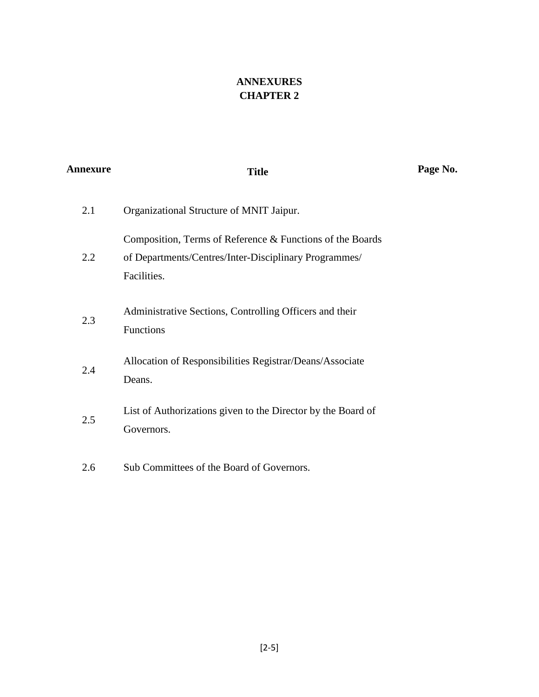# **ANNEXURES CHAPTER 2**

| Annexure | <b>Title</b>                                                                                                                      | Page No. |
|----------|-----------------------------------------------------------------------------------------------------------------------------------|----------|
| 2.1      | Organizational Structure of MNIT Jaipur.                                                                                          |          |
| 2.2      | Composition, Terms of Reference & Functions of the Boards<br>of Departments/Centres/Inter-Disciplinary Programmes/<br>Facilities. |          |
| 2.3      | Administrative Sections, Controlling Officers and their<br>Functions                                                              |          |
| 2.4      | Allocation of Responsibilities Registrar/Deans/Associate<br>Deans.                                                                |          |
| 2.5      | List of Authorizations given to the Director by the Board of<br>Governors.                                                        |          |
| 2.6      | Sub Committees of the Board of Governors.                                                                                         |          |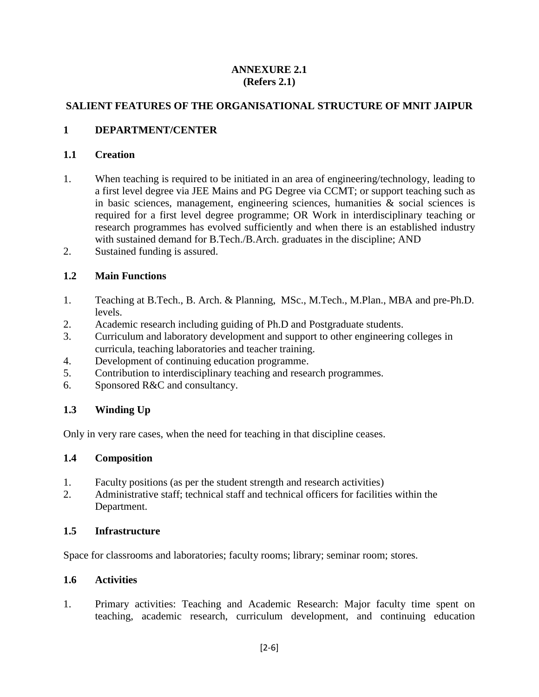### **ANNEXURE 2.1 (Refers 2.1)**

### **SALIENT FEATURES OF THE ORGANISATIONAL STRUCTURE OF MNIT JAIPUR**

### **1 DEPARTMENT/CENTER**

#### **1.1 Creation**

- 1. When teaching is required to be initiated in an area of engineering/technology, leading to a first level degree via JEE Mains and PG Degree via CCMT; or support teaching such as in basic sciences, management, engineering sciences, humanities & social sciences is required for a first level degree programme; OR Work in interdisciplinary teaching or research programmes has evolved sufficiently and when there is an established industry with sustained demand for B.Tech./B.Arch. graduates in the discipline; AND
- 2. Sustained funding is assured.

### **1.2 Main Functions**

- 1. Teaching at B.Tech., B. Arch. & Planning, MSc., M.Tech., M.Plan., MBA and pre-Ph.D. levels.
- 2. Academic research including guiding of Ph.D and Postgraduate students.
- 3. Curriculum and laboratory development and support to other engineering colleges in curricula, teaching laboratories and teacher training.
- 4. Development of continuing education programme.
- 5. Contribution to interdisciplinary teaching and research programmes.
- 6. Sponsored R&C and consultancy.

### **1.3 Winding Up**

Only in very rare cases, when the need for teaching in that discipline ceases.

#### **1.4 Composition**

- 1. Faculty positions (as per the student strength and research activities)
- 2. Administrative staff; technical staff and technical officers for facilities within the Department.

#### **1.5 Infrastructure**

Space for classrooms and laboratories; faculty rooms; library; seminar room; stores.

#### **1.6 Activities**

1. Primary activities: Teaching and Academic Research: Major faculty time spent on teaching, academic research, curriculum development, and continuing education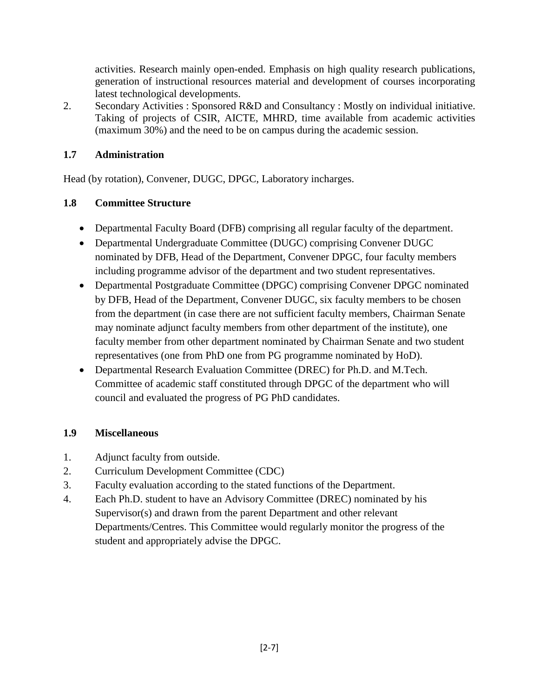activities. Research mainly open-ended. Emphasis on high quality research publications, generation of instructional resources material and development of courses incorporating latest technological developments.

2. Secondary Activities : Sponsored R&D and Consultancy : Mostly on individual initiative. Taking of projects of CSIR, AICTE, MHRD, time available from academic activities (maximum 30%) and the need to be on campus during the academic session.

## **1.7 Administration**

Head (by rotation), Convener, DUGC, DPGC, Laboratory incharges.

# **1.8 Committee Structure**

- Departmental Faculty Board (DFB) comprising all regular faculty of the department.
- Departmental Undergraduate Committee (DUGC) comprising Convener DUGC nominated by DFB, Head of the Department, Convener DPGC, four faculty members including programme advisor of the department and two student representatives.
- Departmental Postgraduate Committee (DPGC) comprising Convener DPGC nominated by DFB, Head of the Department, Convener DUGC, six faculty members to be chosen from the department (in case there are not sufficient faculty members, Chairman Senate may nominate adjunct faculty members from other department of the institute), one faculty member from other department nominated by Chairman Senate and two student representatives (one from PhD one from PG programme nominated by HoD).
- Departmental Research Evaluation Committee (DREC) for Ph.D. and M.Tech. Committee of academic staff constituted through DPGC of the department who will council and evaluated the progress of PG PhD candidates.

## **1.9 Miscellaneous**

- 1. Adjunct faculty from outside.
- 2. Curriculum Development Committee (CDC)
- 3. Faculty evaluation according to the stated functions of the Department.
- 4. Each Ph.D. student to have an Advisory Committee (DREC) nominated by his Supervisor(s) and drawn from the parent Department and other relevant Departments/Centres. This Committee would regularly monitor the progress of the student and appropriately advise the DPGC.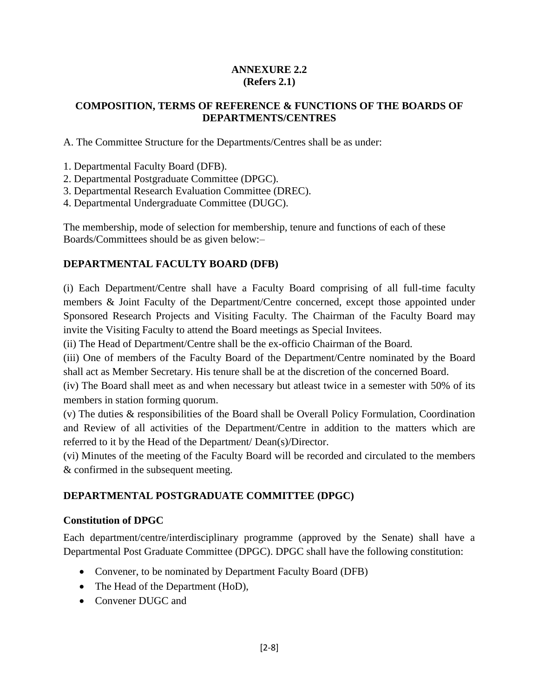### **ANNEXURE 2.2 (Refers 2.1)**

### **COMPOSITION, TERMS OF REFERENCE & FUNCTIONS OF THE BOARDS OF DEPARTMENTS/CENTRES**

A. The Committee Structure for the Departments/Centres shall be as under:

1. Departmental Faculty Board (DFB).

- 2. Departmental Postgraduate Committee (DPGC).
- 3. Departmental Research Evaluation Committee (DREC).
- 4. Departmental Undergraduate Committee (DUGC).

The membership, mode of selection for membership, tenure and functions of each of these Boards/Committees should be as given below:–

# **DEPARTMENTAL FACULTY BOARD (DFB)**

(i) Each Department/Centre shall have a Faculty Board comprising of all full-time faculty members & Joint Faculty of the Department/Centre concerned, except those appointed under Sponsored Research Projects and Visiting Faculty. The Chairman of the Faculty Board may invite the Visiting Faculty to attend the Board meetings as Special Invitees.

(ii) The Head of Department/Centre shall be the ex-officio Chairman of the Board.

(iii) One of members of the Faculty Board of the Department/Centre nominated by the Board shall act as Member Secretary. His tenure shall be at the discretion of the concerned Board.

(iv) The Board shall meet as and when necessary but atleast twice in a semester with 50% of its members in station forming quorum.

(v) The duties & responsibilities of the Board shall be Overall Policy Formulation, Coordination and Review of all activities of the Department/Centre in addition to the matters which are referred to it by the Head of the Department/ Dean(s)/Director.

(vi) Minutes of the meeting of the Faculty Board will be recorded and circulated to the members & confirmed in the subsequent meeting.

## **DEPARTMENTAL POSTGRADUATE COMMITTEE (DPGC)**

## **Constitution of DPGC**

Each department/centre/interdisciplinary programme (approved by the Senate) shall have a Departmental Post Graduate Committee (DPGC). DPGC shall have the following constitution:

- Convener, to be nominated by Department Faculty Board (DFB)
- The Head of the Department (HoD),
- Convener DUGC and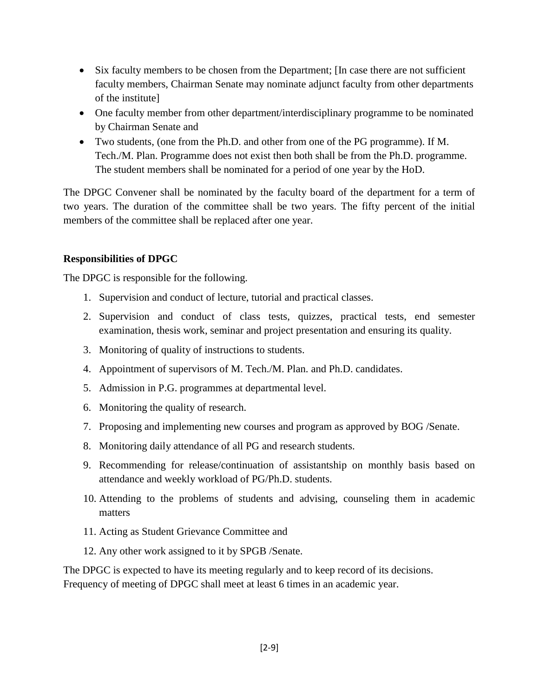- Six faculty members to be chosen from the Department; [In case there are not sufficient faculty members, Chairman Senate may nominate adjunct faculty from other departments of the institute]
- One faculty member from other department/interdisciplinary programme to be nominated by Chairman Senate and
- Two students, (one from the Ph.D. and other from one of the PG programme). If M. Tech./M. Plan. Programme does not exist then both shall be from the Ph.D. programme. The student members shall be nominated for a period of one year by the HoD.

The DPGC Convener shall be nominated by the faculty board of the department for a term of two years. The duration of the committee shall be two years. The fifty percent of the initial members of the committee shall be replaced after one year.

### **Responsibilities of DPGC**

The DPGC is responsible for the following.

- 1. Supervision and conduct of lecture, tutorial and practical classes.
- 2. Supervision and conduct of class tests, quizzes, practical tests, end semester examination, thesis work, seminar and project presentation and ensuring its quality.
- 3. Monitoring of quality of instructions to students.
- 4. Appointment of supervisors of M. Tech./M. Plan. and Ph.D. candidates.
- 5. Admission in P.G. programmes at departmental level.
- 6. Monitoring the quality of research.
- 7. Proposing and implementing new courses and program as approved by BOG /Senate.
- 8. Monitoring daily attendance of all PG and research students.
- 9. Recommending for release/continuation of assistantship on monthly basis based on attendance and weekly workload of PG/Ph.D. students.
- 10. Attending to the problems of students and advising, counseling them in academic matters
- 11. Acting as Student Grievance Committee and
- 12. Any other work assigned to it by SPGB /Senate.

The DPGC is expected to have its meeting regularly and to keep record of its decisions. Frequency of meeting of DPGC shall meet at least 6 times in an academic year.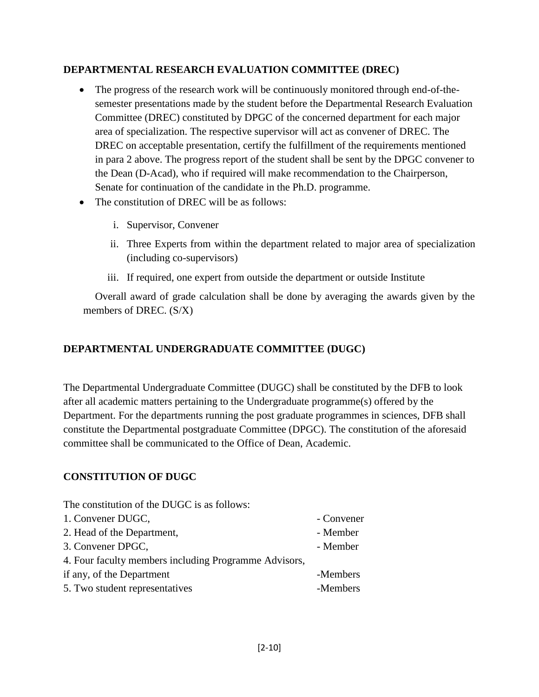### **DEPARTMENTAL RESEARCH EVALUATION COMMITTEE (DREC)**

- The progress of the research work will be continuously monitored through end-of-thesemester presentations made by the student before the Departmental Research Evaluation Committee (DREC) constituted by DPGC of the concerned department for each major area of specialization. The respective supervisor will act as convener of DREC. The DREC on acceptable presentation, certify the fulfillment of the requirements mentioned in para 2 above. The progress report of the student shall be sent by the DPGC convener to the Dean (D-Acad), who if required will make recommendation to the Chairperson, Senate for continuation of the candidate in the Ph.D. programme.
- The constitution of DREC will be as follows:
	- i. Supervisor, Convener
	- ii. Three Experts from within the department related to major area of specialization (including co-supervisors)
	- iii. If required, one expert from outside the department or outside Institute

Overall award of grade calculation shall be done by averaging the awards given by the members of DREC. (S/X)

## **DEPARTMENTAL UNDERGRADUATE COMMITTEE (DUGC)**

The Departmental Undergraduate Committee (DUGC) shall be constituted by the DFB to look after all academic matters pertaining to the Undergraduate programme(s) offered by the Department. For the departments running the post graduate programmes in sciences, DFB shall constitute the Departmental postgraduate Committee (DPGC). The constitution of the aforesaid committee shall be communicated to the Office of Dean, Academic.

## **CONSTITUTION OF DUGC**

The constitution of the DUGC is as follows: 1. Convener DUGC, Convener 2. Head of the Department, The state of the Department, 3. Convener DPGC, The Convention of the Member 4. Four faculty members including Programme Advisors, if any, of the Department -Members 5. Two student representatives -Members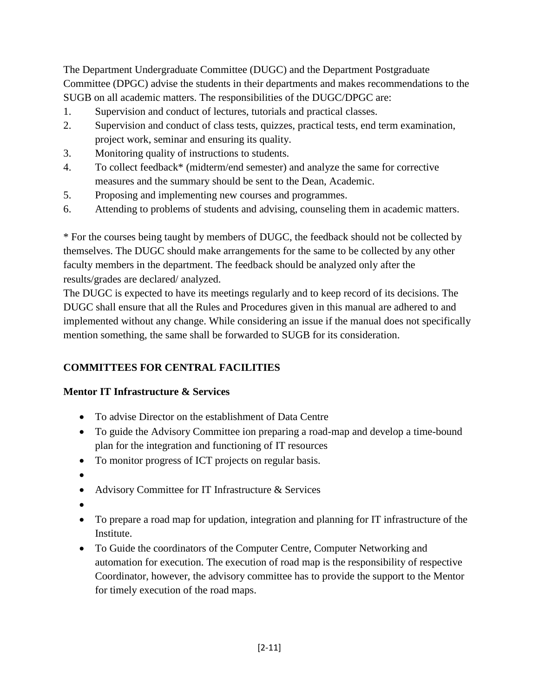The Department Undergraduate Committee (DUGC) and the Department Postgraduate Committee (DPGC) advise the students in their departments and makes recommendations to the SUGB on all academic matters. The responsibilities of the DUGC/DPGC are:

- 1. Supervision and conduct of lectures, tutorials and practical classes.
- 2. Supervision and conduct of class tests, quizzes, practical tests, end term examination, project work, seminar and ensuring its quality.
- 3. Monitoring quality of instructions to students.
- 4. To collect feedback\* (midterm/end semester) and analyze the same for corrective measures and the summary should be sent to the Dean, Academic.
- 5. Proposing and implementing new courses and programmes.
- 6. Attending to problems of students and advising, counseling them in academic matters.

\* For the courses being taught by members of DUGC, the feedback should not be collected by themselves. The DUGC should make arrangements for the same to be collected by any other faculty members in the department. The feedback should be analyzed only after the results/grades are declared/ analyzed.

The DUGC is expected to have its meetings regularly and to keep record of its decisions. The DUGC shall ensure that all the Rules and Procedures given in this manual are adhered to and implemented without any change. While considering an issue if the manual does not specifically mention something, the same shall be forwarded to SUGB for its consideration.

## **COMMITTEES FOR CENTRAL FACILITIES**

### **Mentor IT Infrastructure & Services**

- To advise Director on the establishment of Data Centre
- To guide the Advisory Committee ion preparing a road-map and develop a time-bound plan for the integration and functioning of IT resources
- To monitor progress of ICT projects on regular basis.
- $\bullet$
- Advisory Committee for IT Infrastructure & Services
- $\bullet$
- To prepare a road map for updation, integration and planning for IT infrastructure of the Institute.
- To Guide the coordinators of the Computer Centre, Computer Networking and automation for execution. The execution of road map is the responsibility of respective Coordinator, however, the advisory committee has to provide the support to the Mentor for timely execution of the road maps.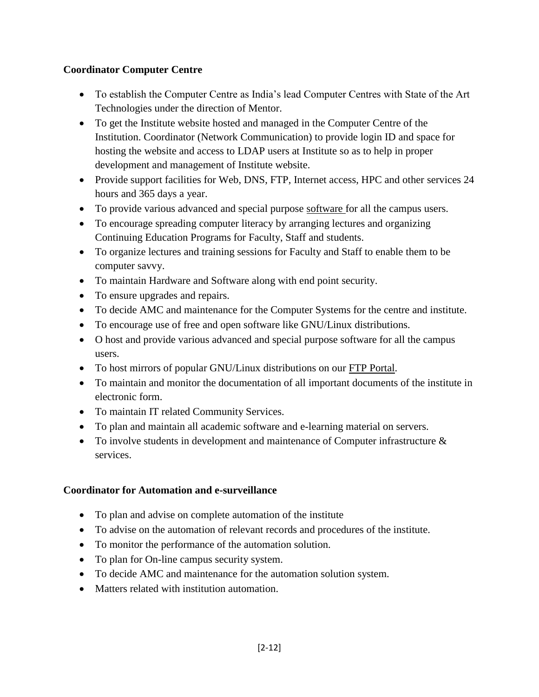## **Coordinator Computer Centre**

- To establish the Computer Centre as India's lead Computer Centres with State of the Art Technologies under the direction of Mentor.
- To get the Institute website hosted and managed in the Computer Centre of the Institution. Coordinator (Network Communication) to provide login ID and space for hosting the website and access to LDAP users at Institute so as to help in proper development and management of Institute website.
- Provide support facilities for Web, DNS, FTP, Internet access, HPC and other services 24 hours and 365 days a year.
- To provide various advanced and special purpose software for all the campus users.
- To encourage spreading computer literacy by arranging lectures and organizing Continuing Education Programs for Faculty, Staff and students.
- To organize lectures and training sessions for Faculty and Staff to enable them to be computer savvy.
- To maintain Hardware and Software along with end point security.
- To ensure upgrades and repairs.
- To decide AMC and maintenance for the Computer Systems for the centre and institute.
- To encourage use of free and open software like GNU/Linux distributions.
- O host and provide various advanced and special purpose software for all the campus users.
- To host mirrors of popular GNU/Linux distributions on our FTP Portal.
- To maintain and monitor the documentation of all important documents of the institute in electronic form.
- To maintain IT related Community Services.
- To plan and maintain all academic software and e-learning material on servers.
- To involve students in development and maintenance of Computer infrastructure & services.

### **Coordinator for Automation and e-surveillance**

- To plan and advise on complete automation of the institute
- To advise on the automation of relevant records and procedures of the institute.
- To monitor the performance of the automation solution.
- To plan for On-line campus security system.
- To decide AMC and maintenance for the automation solution system.
- Matters related with institution automation.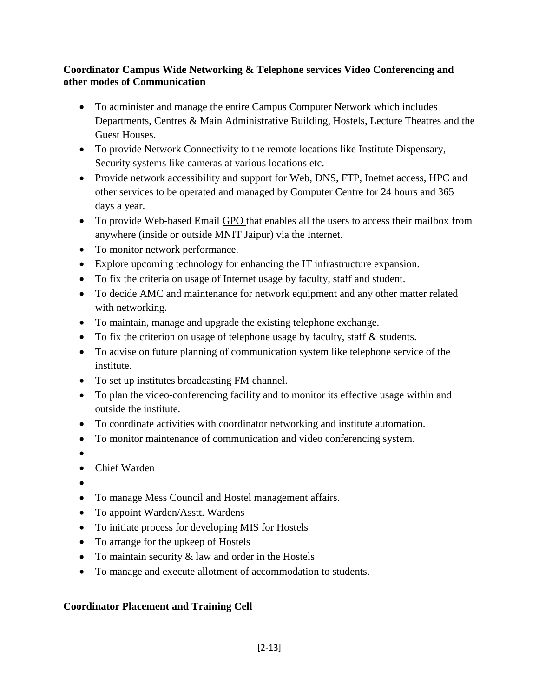### **Coordinator Campus Wide Networking & Telephone services Video Conferencing and other modes of Communication**

- To administer and manage the entire Campus Computer Network which includes Departments, Centres & Main Administrative Building, Hostels, Lecture Theatres and the Guest Houses.
- To provide Network Connectivity to the remote locations like Institute Dispensary, Security systems like cameras at various locations etc.
- Provide network accessibility and support for Web, DNS, FTP, Inetnet access, HPC and other services to be operated and managed by Computer Centre for 24 hours and 365 days a year.
- To provide Web-based Email GPO that enables all the users to access their mailbox from anywhere (inside or outside MNIT Jaipur) via the Internet.
- To monitor network performance.
- Explore upcoming technology for enhancing the IT infrastructure expansion.
- To fix the criteria on usage of Internet usage by faculty, staff and student.
- To decide AMC and maintenance for network equipment and any other matter related with networking.
- To maintain, manage and upgrade the existing telephone exchange.
- To fix the criterion on usage of telephone usage by faculty, staff & students.
- To advise on future planning of communication system like telephone service of the institute.
- To set up institutes broadcasting FM channel.
- To plan the video-conferencing facility and to monitor its effective usage within and outside the institute.
- To coordinate activities with coordinator networking and institute automation.
- To monitor maintenance of communication and video conferencing system.
- $\bullet$
- Chief Warden
- $\bullet$
- To manage Mess Council and Hostel management affairs.
- To appoint Warden/Asstt. Wardens
- To initiate process for developing MIS for Hostels
- To arrange for the upkeep of Hostels
- To maintain security & law and order in the Hostels
- To manage and execute allotment of accommodation to students.

## **Coordinator Placement and Training Cell**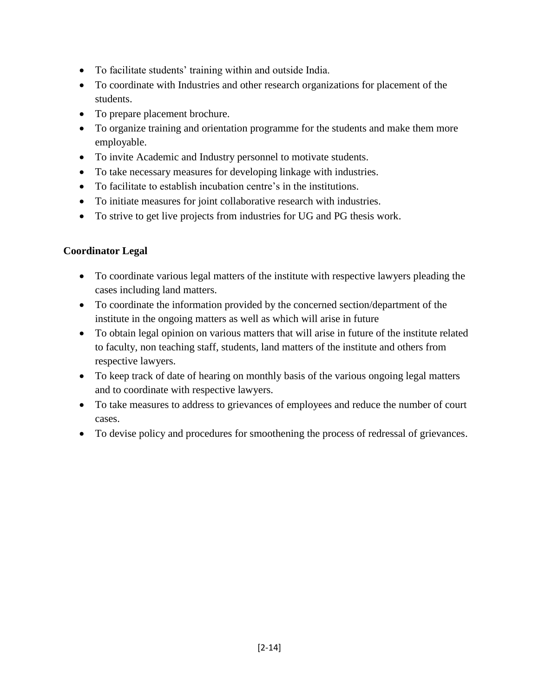- To facilitate students' training within and outside India.
- To coordinate with Industries and other research organizations for placement of the students.
- To prepare placement brochure.
- To organize training and orientation programme for the students and make them more employable.
- To invite Academic and Industry personnel to motivate students.
- To take necessary measures for developing linkage with industries.
- To facilitate to establish incubation centre's in the institutions.
- To initiate measures for joint collaborative research with industries.
- To strive to get live projects from industries for UG and PG thesis work.

## **Coordinator Legal**

- To coordinate various legal matters of the institute with respective lawyers pleading the cases including land matters.
- To coordinate the information provided by the concerned section/department of the institute in the ongoing matters as well as which will arise in future
- To obtain legal opinion on various matters that will arise in future of the institute related to faculty, non teaching staff, students, land matters of the institute and others from respective lawyers.
- To keep track of date of hearing on monthly basis of the various ongoing legal matters and to coordinate with respective lawyers.
- To take measures to address to grievances of employees and reduce the number of court cases.
- To devise policy and procedures for smoothening the process of redressal of grievances.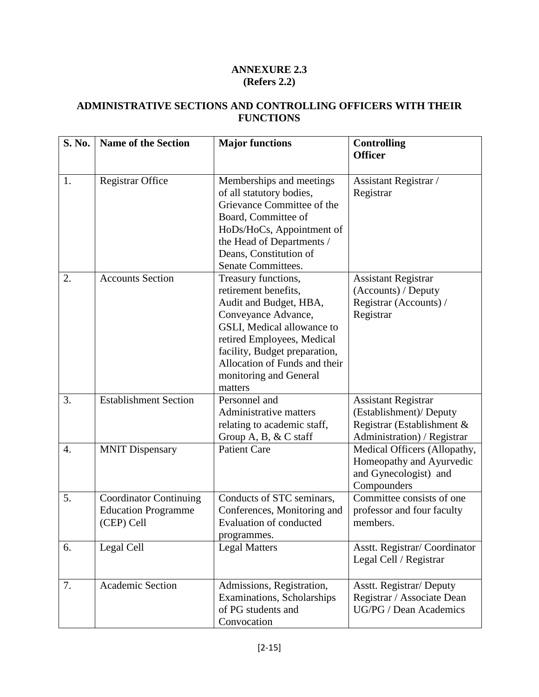## **ANNEXURE 2.3 (Refers 2.2)**

### **ADMINISTRATIVE SECTIONS AND CONTROLLING OFFICERS WITH THEIR FUNCTIONS**

| <b>S. No.</b> | <b>Name of the Section</b>                                                | <b>Major functions</b>                                                                                                                                                                                                                                          | <b>Controlling</b><br><b>Officer</b>                                                                               |
|---------------|---------------------------------------------------------------------------|-----------------------------------------------------------------------------------------------------------------------------------------------------------------------------------------------------------------------------------------------------------------|--------------------------------------------------------------------------------------------------------------------|
| 1.            | <b>Registrar Office</b>                                                   | Memberships and meetings<br>of all statutory bodies,<br>Grievance Committee of the<br>Board, Committee of<br>HoDs/HoCs, Appointment of<br>the Head of Departments /<br>Deans, Constitution of<br>Senate Committees.                                             | Assistant Registrar /<br>Registrar                                                                                 |
| 2.            | <b>Accounts Section</b>                                                   | Treasury functions,<br>retirement benefits,<br>Audit and Budget, HBA,<br>Conveyance Advance,<br>GSLI, Medical allowance to<br>retired Employees, Medical<br>facility, Budget preparation,<br>Allocation of Funds and their<br>monitoring and General<br>matters | <b>Assistant Registrar</b><br>(Accounts) / Deputy<br>Registrar (Accounts) /<br>Registrar                           |
| 3.            | <b>Establishment Section</b>                                              | Personnel and<br>Administrative matters<br>relating to academic staff,<br>Group A, B, $& C$ staff                                                                                                                                                               | <b>Assistant Registrar</b><br>(Establishment)/ Deputy<br>Registrar (Establishment &<br>Administration) / Registrar |
| 4.            | <b>MNIT Dispensary</b>                                                    | <b>Patient Care</b>                                                                                                                                                                                                                                             | Medical Officers (Allopathy,<br>Homeopathy and Ayurvedic<br>and Gynecologist) and<br>Compounders                   |
| 5.            | <b>Coordinator Continuing</b><br><b>Education Programme</b><br>(CEP) Cell | Conducts of STC seminars,<br>Conferences, Monitoring and<br>Evaluation of conducted<br>programmes.                                                                                                                                                              | Committee consists of one<br>professor and four faculty<br>members.                                                |
| 6.            | Legal Cell                                                                | <b>Legal Matters</b>                                                                                                                                                                                                                                            | Asstt. Registrar/Coordinator<br>Legal Cell / Registrar                                                             |
| 7.            | <b>Academic Section</b>                                                   | Admissions, Registration,<br>Examinations, Scholarships<br>of PG students and<br>Convocation                                                                                                                                                                    | Asstt. Registrar/ Deputy<br>Registrar / Associate Dean<br>UG/PG / Dean Academics                                   |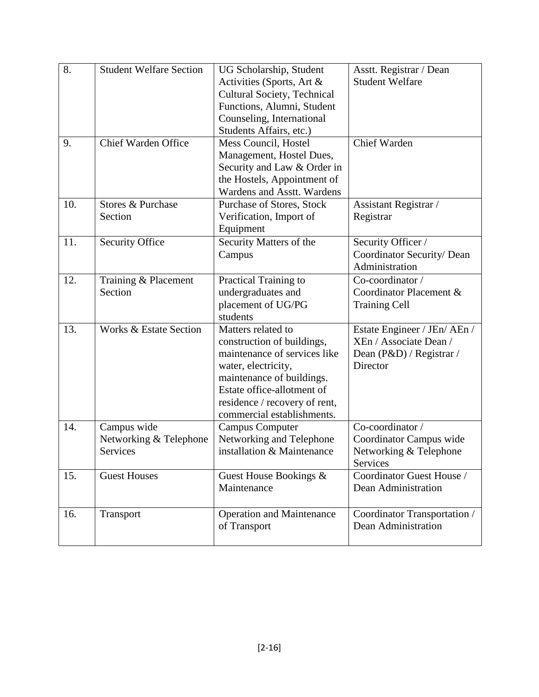| 8.  | <b>Student Welfare Section</b>    | UG Scholarship, Student            | Asstt. Registrar / Dean      |
|-----|-----------------------------------|------------------------------------|------------------------------|
|     |                                   | Activities (Sports, Art &          | <b>Student Welfare</b>       |
|     |                                   | <b>Cultural Society, Technical</b> |                              |
|     |                                   | Functions, Alumni, Student         |                              |
|     |                                   | Counseling, International          |                              |
|     |                                   | Students Affairs, etc.)            |                              |
| 9.  | Chief Warden Office               | Mess Council, Hostel               | Chief Warden                 |
|     |                                   | Management, Hostel Dues,           |                              |
|     |                                   | Security and Law & Order in        |                              |
|     |                                   | the Hostels, Appointment of        |                              |
|     |                                   | Wardens and Asstt. Wardens         |                              |
| 10. | Stores & Purchase                 | Purchase of Stores, Stock          | Assistant Registrar /        |
|     | Section                           | Verification, Import of            | Registrar                    |
|     |                                   | Equipment                          |                              |
| 11. | <b>Security Office</b>            | Security Matters of the            | Security Officer /           |
|     |                                   | Campus                             | Coordinator Security/ Dean   |
|     |                                   |                                    | Administration               |
| 12. | Training & Placement              | Practical Training to              | Co-coordinator /             |
|     | Section                           | undergraduates and                 | Coordinator Placement &      |
|     |                                   | placement of UG/PG                 | <b>Training Cell</b>         |
|     |                                   | students                           |                              |
| 13. | <b>Works &amp; Estate Section</b> | Matters related to                 | Estate Engineer / JEn/ AEn / |
|     |                                   | construction of buildings,         | XEn / Associate Dean /       |
|     |                                   | maintenance of services like       | Dean (P&D) / Registrar /     |
|     |                                   | water, electricity,                | Director                     |
|     |                                   | maintenance of buildings.          |                              |
|     |                                   | Estate office-allotment of         |                              |
|     |                                   | residence / recovery of rent,      |                              |
|     |                                   | commercial establishments.         |                              |
| 14. | Campus wide                       | <b>Campus Computer</b>             | Co-coordinator /             |
|     | Networking & Telephone            | Networking and Telephone           | Coordinator Campus wide      |
|     | Services                          | installation & Maintenance         | Networking & Telephone       |
|     |                                   |                                    | Services                     |
| 15. | <b>Guest Houses</b>               | Guest House Bookings &             | Coordinator Guest House /    |
|     |                                   | Maintenance                        | Dean Administration          |
|     |                                   |                                    |                              |
| 16. | Transport                         | <b>Operation and Maintenance</b>   | Coordinator Transportation / |
|     |                                   | of Transport                       | Dean Administration          |
|     |                                   |                                    |                              |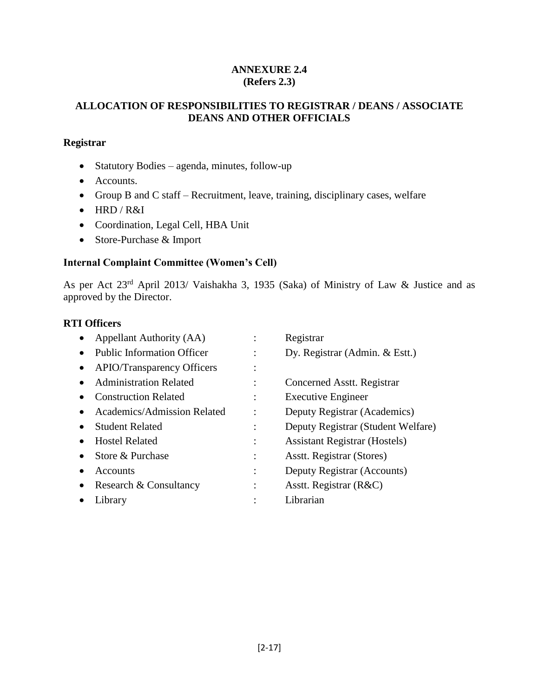### **ANNEXURE 2.4 (Refers 2.3)**

### **ALLOCATION OF RESPONSIBILITIES TO REGISTRAR / DEANS / ASSOCIATE DEANS AND OTHER OFFICIALS**

#### **Registrar**

- Statutory Bodies agenda, minutes, follow-up
- Accounts.
- Group B and C staff Recruitment, leave, training, disciplinary cases, welfare
- HRD / R&I
- Coordination, Legal Cell, HBA Unit
- Store-Purchase & Import

### **Internal Complaint Committee (Women's Cell)**

As per Act 23rd April 2013/ Vaishakha 3, 1935 (Saka) of Ministry of Law & Justice and as approved by the Director.

#### **RTI Officers**

|           | Appellant Authority (AA)          |   | Registrar                            |
|-----------|-----------------------------------|---|--------------------------------------|
|           | <b>Public Information Officer</b> |   | Dy. Registrar (Admin. & Estt.)       |
| $\bullet$ | <b>APIO/Transparency Officers</b> |   |                                      |
|           | <b>Administration Related</b>     |   | Concerned Asstt. Registrar           |
|           | <b>Construction Related</b>       |   | <b>Executive Engineer</b>            |
|           | Academics/Admission Related       |   | Deputy Registrar (Academics)         |
|           | <b>Student Related</b>            | ٠ | Deputy Registrar (Student Welfare)   |
|           | <b>Hostel Related</b>             |   | <b>Assistant Registrar (Hostels)</b> |
|           | Store & Purchase                  |   | Asstt. Registrar (Stores)            |
|           | Accounts                          |   | Deputy Registrar (Accounts)          |
| $\bullet$ | Research & Consultancy            |   | Asstt. Registrar (R&C)               |
|           | Library                           |   | Librarian                            |
|           |                                   |   |                                      |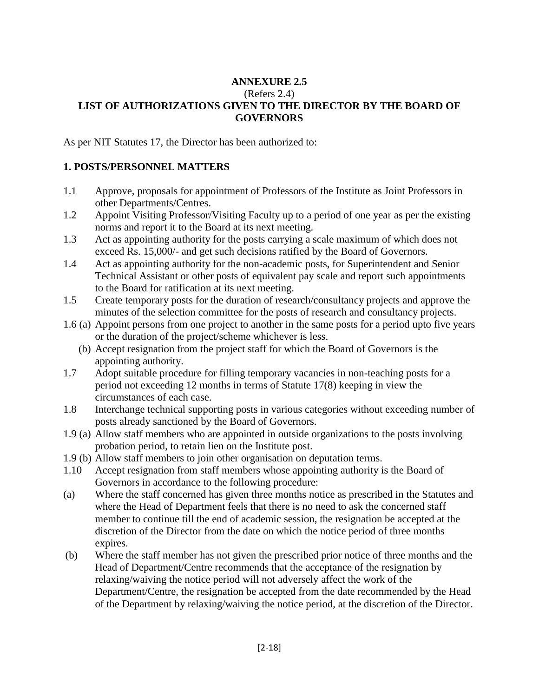#### **ANNEXURE 2.5** (Refers 2.4) **LIST OF AUTHORIZATIONS GIVEN TO THE DIRECTOR BY THE BOARD OF GOVERNORS**

As per NIT Statutes 17, the Director has been authorized to:

### **1. POSTS/PERSONNEL MATTERS**

- 1.1 Approve, proposals for appointment of Professors of the Institute as Joint Professors in other Departments/Centres.
- 1.2 Appoint Visiting Professor/Visiting Faculty up to a period of one year as per the existing norms and report it to the Board at its next meeting.
- 1.3 Act as appointing authority for the posts carrying a scale maximum of which does not exceed Rs. 15,000/- and get such decisions ratified by the Board of Governors.
- 1.4 Act as appointing authority for the non-academic posts, for Superintendent and Senior Technical Assistant or other posts of equivalent pay scale and report such appointments to the Board for ratification at its next meeting.
- 1.5 Create temporary posts for the duration of research/consultancy projects and approve the minutes of the selection committee for the posts of research and consultancy projects.
- 1.6 (a) Appoint persons from one project to another in the same posts for a period upto five years or the duration of the project/scheme whichever is less.
	- (b) Accept resignation from the project staff for which the Board of Governors is the appointing authority.
- 1.7 Adopt suitable procedure for filling temporary vacancies in non-teaching posts for a period not exceeding 12 months in terms of Statute 17(8) keeping in view the circumstances of each case.
- 1.8 Interchange technical supporting posts in various categories without exceeding number of posts already sanctioned by the Board of Governors.
- 1.9 (a) Allow staff members who are appointed in outside organizations to the posts involving probation period, to retain lien on the Institute post.
- 1.9 (b) Allow staff members to join other organisation on deputation terms.
- 1.10 Accept resignation from staff members whose appointing authority is the Board of Governors in accordance to the following procedure:
- (a) Where the staff concerned has given three months notice as prescribed in the Statutes and where the Head of Department feels that there is no need to ask the concerned staff member to continue till the end of academic session, the resignation be accepted at the discretion of the Director from the date on which the notice period of three months expires.
- (b) Where the staff member has not given the prescribed prior notice of three months and the Head of Department/Centre recommends that the acceptance of the resignation by relaxing/waiving the notice period will not adversely affect the work of the Department/Centre, the resignation be accepted from the date recommended by the Head of the Department by relaxing/waiving the notice period, at the discretion of the Director.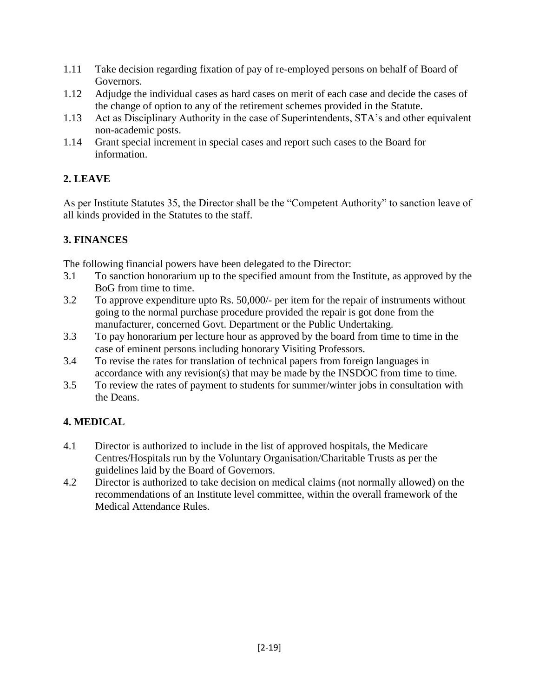- 1.11 Take decision regarding fixation of pay of re-employed persons on behalf of Board of Governors.
- 1.12 Adjudge the individual cases as hard cases on merit of each case and decide the cases of the change of option to any of the retirement schemes provided in the Statute.
- 1.13 Act as Disciplinary Authority in the case of Superintendents, STA's and other equivalent non-academic posts.
- 1.14 Grant special increment in special cases and report such cases to the Board for information.

# **2. LEAVE**

As per Institute Statutes 35, the Director shall be the "Competent Authority" to sanction leave of all kinds provided in the Statutes to the staff.

# **3. FINANCES**

The following financial powers have been delegated to the Director:

- 3.1 To sanction honorarium up to the specified amount from the Institute, as approved by the BoG from time to time.
- 3.2 To approve expenditure upto Rs. 50,000/- per item for the repair of instruments without going to the normal purchase procedure provided the repair is got done from the manufacturer, concerned Govt. Department or the Public Undertaking.
- 3.3 To pay honorarium per lecture hour as approved by the board from time to time in the case of eminent persons including honorary Visiting Professors.
- 3.4 To revise the rates for translation of technical papers from foreign languages in accordance with any revision(s) that may be made by the INSDOC from time to time.
- 3.5 To review the rates of payment to students for summer/winter jobs in consultation with the Deans.

# **4. MEDICAL**

- 4.1 Director is authorized to include in the list of approved hospitals, the Medicare Centres/Hospitals run by the Voluntary Organisation/Charitable Trusts as per the guidelines laid by the Board of Governors.
- 4.2 Director is authorized to take decision on medical claims (not normally allowed) on the recommendations of an Institute level committee, within the overall framework of the Medical Attendance Rules.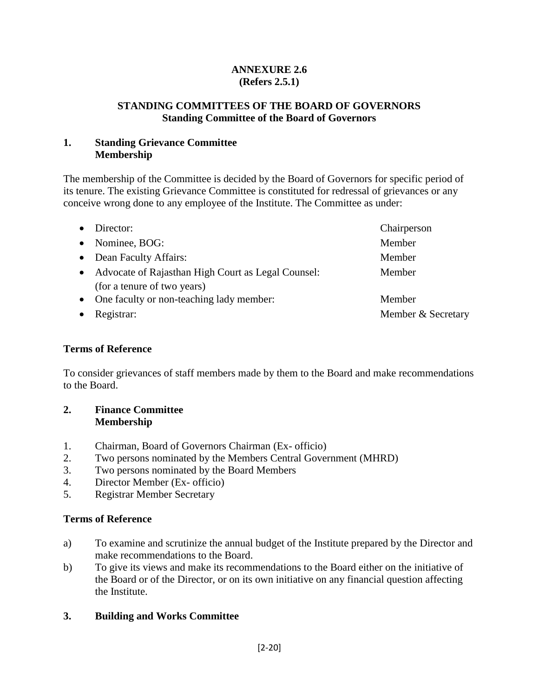### **ANNEXURE 2.6 (Refers 2.5.1)**

#### **STANDING COMMITTEES OF THE BOARD OF GOVERNORS Standing Committee of the Board of Governors**

#### **1. Standing Grievance Committee Membership**

The membership of the Committee is decided by the Board of Governors for specific period of its tenure. The existing Grievance Committee is constituted for redressal of grievances or any conceive wrong done to any employee of the Institute. The Committee as under:

|           | Director:                                          | Chairperson        |
|-----------|----------------------------------------------------|--------------------|
| $\bullet$ | Nominee, BOG:                                      | Member             |
|           | • Dean Faculty Affairs:                            | Member             |
| $\bullet$ | Advocate of Rajasthan High Court as Legal Counsel: | Member             |
|           | (for a tenure of two years)                        |                    |
|           | • One faculty or non-teaching lady member:         | Member             |
|           | Registrar:                                         | Member & Secretary |

#### **Terms of Reference**

To consider grievances of staff members made by them to the Board and make recommendations to the Board.

#### **2. Finance Committee Membership**

- 1. Chairman, Board of Governors Chairman (Ex- officio)
- 2. Two persons nominated by the Members Central Government (MHRD)
- 3. Two persons nominated by the Board Members
- 4. Director Member (Ex- officio)
- 5. Registrar Member Secretary

#### **Terms of Reference**

- a) To examine and scrutinize the annual budget of the Institute prepared by the Director and make recommendations to the Board.
- b) To give its views and make its recommendations to the Board either on the initiative of the Board or of the Director, or on its own initiative on any financial question affecting the Institute.

#### **3. Building and Works Committee**